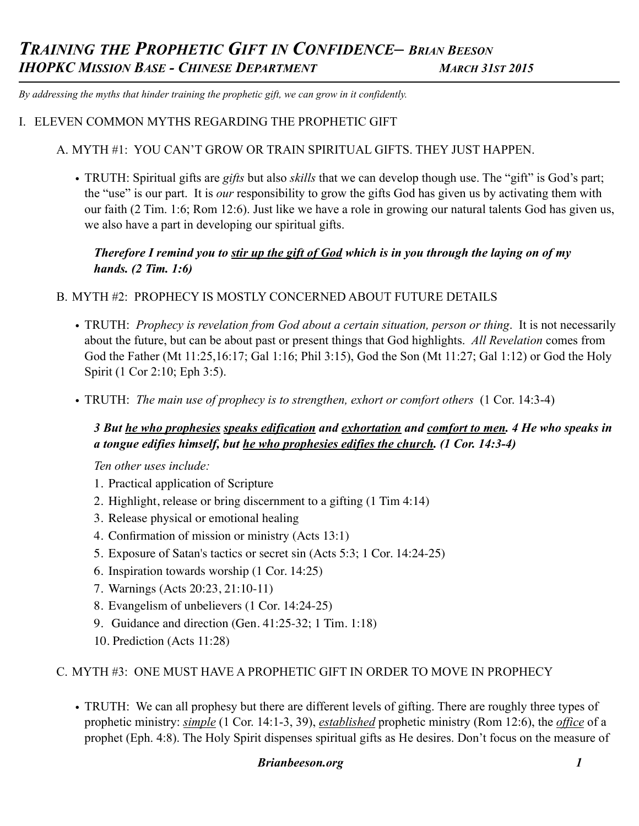*By addressing the myths that hinder training the prophetic gift, we can grow in it confidently.* 

### I. ELEVEN COMMON MYTHS REGARDING THE PROPHETIC GIFT

### A. MYTH #1: YOU CAN'T GROW OR TRAIN SPIRITUAL GIFTS. THEY JUST HAPPEN.

• TRUTH: Spiritual gifts are *gifts* but also *skills* that we can develop though use. The "gift" is God's part; the "use" is our part. It is *our* responsibility to grow the gifts God has given us by activating them with our faith (2 Tim. 1:6; Rom 12:6). Just like we have a role in growing our natural talents God has given us, we also have a part in developing our spiritual gifts.

## *Therefore I remind you to stir up the gift of God which is in you through the laying on of my hands. (2 Tim. 1:6)*

#### B. MYTH #2: PROPHECY IS MOSTLY CONCERNED ABOUT FUTURE DETAILS

- TRUTH: *Prophecy is revelation from God about a certain situation, person or thing*. It is not necessarily about the future, but can be about past or present things that God highlights. *All Revelation* comes from God the Father (Mt 11:25,16:17; Gal 1:16; Phil 3:15), God the Son (Mt 11:27; Gal 1:12) or God the Holy Spirit (1 Cor 2:10; Eph 3:5).
- TRUTH: *The main use of prophecy is to strengthen, exhort or comfort others* (1 Cor. 14:3-4)

## *3 But he who prophesies speaks edification and exhortation and comfort to men. 4 He who speaks in a tongue edifies himself, but he who prophesies edifies the church. (1 Cor. 14:3-4)*

 *Ten other uses include:* 

- 1. Practical application of Scripture
- 2. Highlight, release or bring discernment to a gifting (1 Tim 4:14)
- 3. Release physical or emotional healing
- 4. Confirmation of mission or ministry (Acts 13:1)
- 5. Exposure of Satan's tactics or secret sin (Acts 5:3; 1 Cor. 14:24-25)
- 6. Inspiration towards worship (1 Cor. 14:25)
- 7. Warnings (Acts 20:23, 21:10-11)
- 8. Evangelism of unbelievers (1 Cor. 14:24-25)
- 9. Guidance and direction (Gen. 41:25-32; 1 Tim. 1:18)
- 10. Prediction (Acts 11:28)

#### C. MYTH #3: ONE MUST HAVE A PROPHETIC GIFT IN ORDER TO MOVE IN PROPHECY

• TRUTH: We can all prophesy but there are different levels of gifting. There are roughly three types of prophetic ministry: *simple* (1 Cor. 14:1-3, 39), *established* prophetic ministry (Rom 12:6), the *office* of a prophet (Eph. 4:8). The Holy Spirit dispenses spiritual gifts as He desires. Don't focus on the measure of

#### *Brianbeeson.org 1*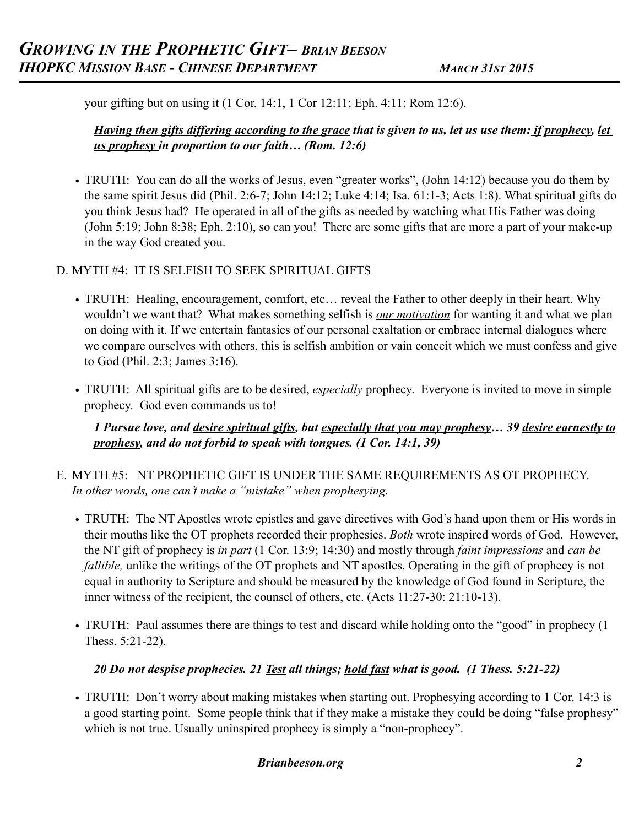your gifting but on using it (1 Cor. 14:1, 1 Cor 12:11; Eph. 4:11; Rom 12:6).

# *Having then gifts differing according to the grace that is given to us, let us use them: if prophecy, let us prophesy in proportion to our faith… (Rom. 12:6)*

• TRUTH: You can do all the works of Jesus, even "greater works", (John 14:12) because you do them by the same spirit Jesus did (Phil. 2:6-7; John 14:12; Luke 4:14; Isa. 61:1-3; Acts 1:8). What spiritual gifts do you think Jesus had? He operated in all of the gifts as needed by watching what His Father was doing (John 5:19; John 8:38; Eph. 2:10), so can you! There are some gifts that are more a part of your make-up in the way God created you.

# D. MYTH #4: IT IS SELFISH TO SEEK SPIRITUAL GIFTS

- TRUTH: Healing, encouragement, comfort, etc... reveal the Father to other deeply in their heart. Why wouldn't we want that? What makes something selfish is *our motivation* for wanting it and what we plan on doing with it. If we entertain fantasies of our personal exaltation or embrace internal dialogues where we compare ourselves with others, this is selfish ambition or vain conceit which we must confess and give to God (Phil. 2:3; James 3:16).
- TRUTH: All spiritual gifts are to be desired, *especially* prophecy. Everyone is invited to move in simple prophecy. God even commands us to!

*1 Pursue love, and desire spiritual gifts, but especially that you may prophesy… 39 desire earnestly to prophesy, and do not forbid to speak with tongues. (1 Cor. 14:1, 39)*

- E. MYTH #5: NT PROPHETIC GIFT IS UNDER THE SAME REQUIREMENTS AS OT PROPHECY. *In other words, one can't make a "mistake" when prophesying.* 
	- TRUTH: The NT Apostles wrote epistles and gave directives with God's hand upon them or His words in their mouths like the OT prophets recorded their prophesies. *Both* wrote inspired words of God. However, the NT gift of prophecy is *in part* (1 Cor. 13:9; 14:30) and mostly through *faint impressions* and *can be fallible,* unlike the writings of the OT prophets and NT apostles. Operating in the gift of prophecy is not equal in authority to Scripture and should be measured by the knowledge of God found in Scripture, the inner witness of the recipient, the counsel of others, etc. (Acts 11:27-30: 21:10-13).
	- TRUTH: Paul assumes there are things to test and discard while holding onto the "good" in prophecy (1) Thess. 5:21-22).

# *20 Do not despise prophecies. 21 Test all things; hold fast what is good. (1 Thess. 5:21-22)*

• TRUTH: Don't worry about making mistakes when starting out. Prophesying according to 1 Cor. 14:3 is a good starting point. Some people think that if they make a mistake they could be doing "false prophesy" which is not true. Usually uninspired prophecy is simply a "non-prophecy".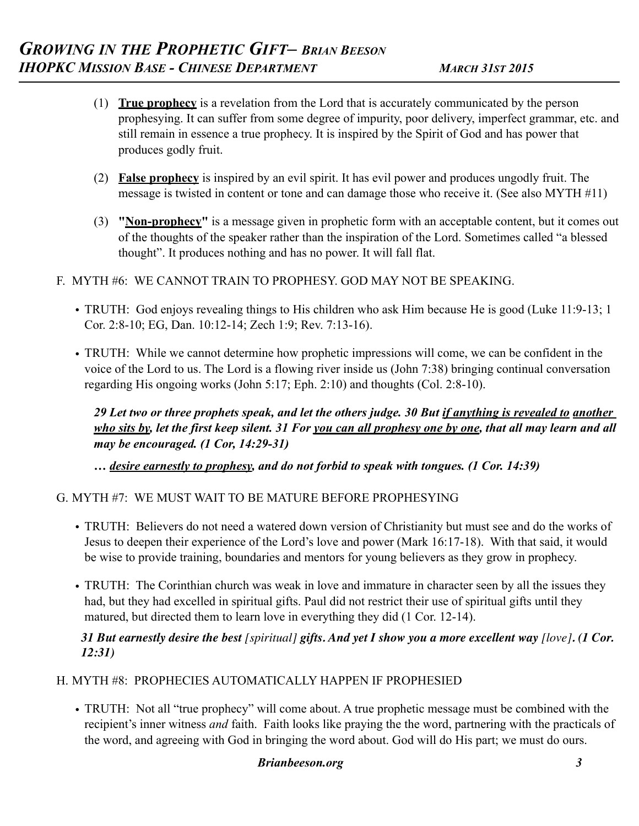- (1) **True prophecy** is a revelation from the Lord that is accurately communicated by the person prophesying. It can suffer from some degree of impurity, poor delivery, imperfect grammar, etc. and still remain in essence a true prophecy. It is inspired by the Spirit of God and has power that produces godly fruit.
- (2) **False prophecy** is inspired by an evil spirit. It has evil power and produces ungodly fruit. The message is twisted in content or tone and can damage those who receive it. (See also MYTH #11)
- (3) **"Non-prophecy"** is a message given in prophetic form with an acceptable content, but it comes out of the thoughts of the speaker rather than the inspiration of the Lord. Sometimes called "a blessed thought". It produces nothing and has no power. It will fall flat.
- F. MYTH #6: WE CANNOT TRAIN TO PROPHESY. GOD MAY NOT BE SPEAKING.
	- TRUTH: God enjoys revealing things to His children who ask Him because He is good (Luke 11:9-13; 1 Cor. 2:8-10; EG, Dan. 10:12-14; Zech 1:9; Rev. 7:13-16).
	- TRUTH: While we cannot determine how prophetic impressions will come, we can be confident in the voice of the Lord to us. The Lord is a flowing river inside us (John 7:38) bringing continual conversation regarding His ongoing works (John 5:17; Eph. 2:10) and thoughts (Col. 2:8-10).

*29 Let two or three prophets speak, and let the others judge. 30 But if anything is revealed to another who sits by, let the first keep silent. 31 For you can all prophesy one by one, that all may learn and all may be encouraged. (1 Cor, 14:29-31)*

*… desire earnestly to prophesy, and do not forbid to speak with tongues. (1 Cor. 14:39)*

G. MYTH #7: WE MUST WAIT TO BE MATURE BEFORE PROPHESYING

- TRUTH: Believers do not need a watered down version of Christianity but must see and do the works of Jesus to deepen their experience of the Lord's love and power (Mark 16:17-18). With that said, it would be wise to provide training, boundaries and mentors for young believers as they grow in prophecy.
- TRUTH: The Corinthian church was weak in love and immature in character seen by all the issues they had, but they had excelled in spiritual gifts. Paul did not restrict their use of spiritual gifts until they matured, but directed them to learn love in everything they did (1 Cor. 12-14).

### *31 But earnestly desire the best [spiritual] gifts. And yet I show you a more excellent way [love]. (1 Cor. 12:31)*

### H. MYTH #8: PROPHECIES AUTOMATICALLY HAPPEN IF PROPHESIED

• TRUTH: Not all "true prophecy" will come about. A true prophetic message must be combined with the recipient's inner witness *and* faith. Faith looks like praying the the word, partnering with the practicals of the word, and agreeing with God in bringing the word about. God will do His part; we must do ours.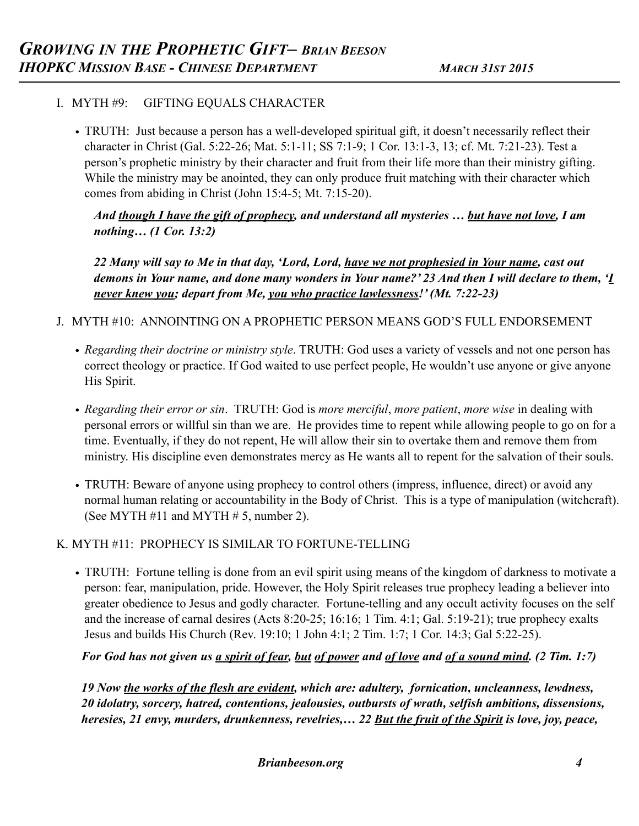# I. MYTH #9: GIFTING EQUALS CHARACTER

• TRUTH: Just because a person has a well-developed spiritual gift, it doesn't necessarily reflect their character in Christ (Gal. 5:22-26; Mat. 5:1-11; SS 7:1-9; 1 Cor. 13:1-3, 13; cf. Mt. 7:21-23). Test a person's prophetic ministry by their character and fruit from their life more than their ministry gifting. While the ministry may be anointed, they can only produce fruit matching with their character which comes from abiding in Christ (John 15:4-5; Mt. 7:15-20).

*And though I have the gift of prophecy, and understand all mysteries … but have not love, I am nothing… (1 Cor. 13:2)* 

*22 Many will say to Me in that day, 'Lord, Lord, have we not prophesied in Your name, cast out demons in Your name, and done many wonders in Your name?' 23 And then I will declare to them, 'I never knew you; depart from Me, you who practice lawlessness!' (Mt. 7:22-23)* 

- J. MYTH #10: ANNOINTING ON A PROPHETIC PERSON MEANS GOD'S FULL ENDORSEMENT
	- *Regarding their doctrine or ministry style*. TRUTH: God uses a variety of vessels and not one person has correct theology or practice. If God waited to use perfect people, He wouldn't use anyone or give anyone His Spirit.
	- *Regarding their error or sin*. TRUTH: God is *more merciful*, *more patient*, *more wise* in dealing with personal errors or willful sin than we are. He provides time to repent while allowing people to go on for a time. Eventually, if they do not repent, He will allow their sin to overtake them and remove them from ministry. His discipline even demonstrates mercy as He wants all to repent for the salvation of their souls.
	- TRUTH: Beware of anyone using prophecy to control others (impress, influence, direct) or avoid any normal human relating or accountability in the Body of Christ. This is a type of manipulation (witchcraft). (See MYTH  $#11$  and MYTH  $# 5$ , number 2).

### K. MYTH #11: PROPHECY IS SIMILAR TO FORTUNE-TELLING

• TRUTH: Fortune telling is done from an evil spirit using means of the kingdom of darkness to motivate a person: fear, manipulation, pride. However, the Holy Spirit releases true prophecy leading a believer into greater obedience to Jesus and godly character. Fortune-telling and any occult activity focuses on the self and the increase of carnal desires (Acts 8:20-25; 16:16; 1 Tim. 4:1; Gal. 5:19-21); true prophecy exalts Jesus and builds His Church (Rev. 19:10; 1 John 4:1; 2 Tim. 1:7; 1 Cor. 14:3; Gal 5:22-25).

# *For God has not given us a spirit of fear, but of power and of love and of a sound mind. (2 Tim. 1:7)*

*19 Now the works of the flesh are evident, which are: adultery, fornication, uncleanness, lewdness, 20 idolatry, sorcery, hatred, contentions, jealousies, outbursts of wrath, selfish ambitions, dissensions, heresies, 21 envy, murders, drunkenness, revelries,… 22 But the fruit of the Spirit is love, joy, peace,*